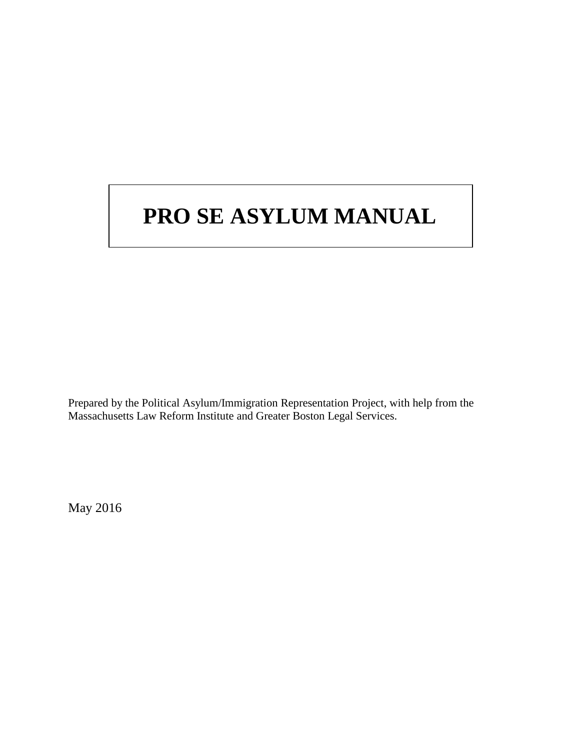# **PRO SE ASYLUM MANUAL**

Prepared by the Political Asylum/Immigration Representation Project, with help from the Massachusetts Law Reform Institute and Greater Boston Legal Services.

May 2016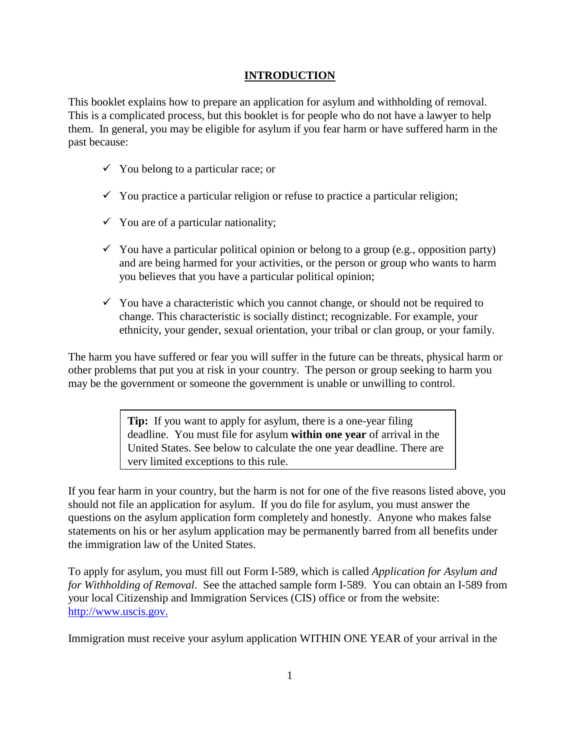# **INTRODUCTION**

This booklet explains how to prepare an application for asylum and withholding of removal. This is a complicated process, but this booklet is for people who do not have a lawyer to help them. In general, you may be eligible for asylum if you fear harm or have suffered harm in the past because:

- $\checkmark$  You belong to a particular race; or
- $\checkmark$  You practice a particular religion or refuse to practice a particular religion;
- $\checkmark$  You are of a particular nationality;
- $\checkmark$  You have a particular political opinion or belong to a group (e.g., opposition party) and are being harmed for your activities, or the person or group who wants to harm you believes that you have a particular political opinion;
- $\checkmark$  You have a characteristic which you cannot change, or should not be required to change. This characteristic is socially distinct; recognizable. For example, your ethnicity, your gender, sexual orientation, your tribal or clan group, or your family.

The harm you have suffered or fear you will suffer in the future can be threats, physical harm or other problems that put you at risk in your country. The person or group seeking to harm you may be the government or someone the government is unable or unwilling to control.

> **Tip:** If you want to apply for asylum, there is a one-year filing deadline. You must file for asylum **within one year** of arrival in the United States. See below to calculate the one year deadline. There are very limited exceptions to this rule.

If you fear harm in your country, but the harm is not for one of the five reasons listed above, you should not file an application for asylum. If you do file for asylum, you must answer the questions on the asylum application form completely and honestly. Anyone who makes false statements on his or her asylum application may be permanently barred from all benefits under the immigration law of the United States.

To apply for asylum, you must fill out Form I-589, which is called *Application for Asylum and for Withholding of Removal*. See the attached sample form I-589. You can obtain an I-589 from your local Citizenship and Immigration Services (CIS) office or from the website: http://www.uscis.gov.

Immigration must receive your asylum application WITHIN ONE YEAR of your arrival in the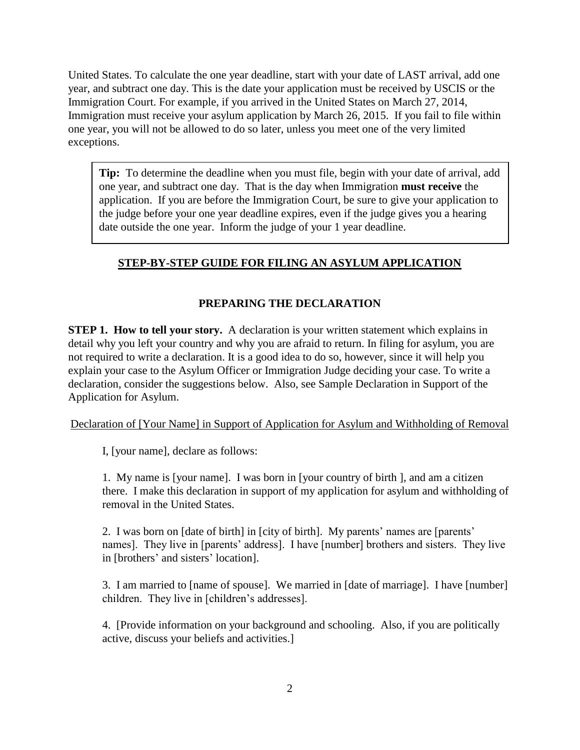United States. To calculate the one year deadline, start with your date of LAST arrival, add one year, and subtract one day. This is the date your application must be received by USCIS or the Immigration Court. For example, if you arrived in the United States on March 27, 2014, Immigration must receive your asylum application by March 26, 2015. If you fail to file within one year, you will not be allowed to do so later, unless you meet one of the very limited exceptions.

**Tip:** To determine the deadline when you must file, begin with your date of arrival, add one year, and subtract one day. That is the day when Immigration **must receive** the application. If you are before the Immigration Court, be sure to give your application to the judge before your one year deadline expires, even if the judge gives you a hearing date outside the one year. Inform the judge of your 1 year deadline.

# **STEP-BY-STEP GUIDE FOR FILING AN ASYLUM APPLICATION**

# **PREPARING THE DECLARATION**

**STEP 1. How to tell your story.** A declaration is your written statement which explains in detail why you left your country and why you are afraid to return. In filing for asylum, you are not required to write a declaration. It is a good idea to do so, however, since it will help you explain your case to the Asylum Officer or Immigration Judge deciding your case. To write a declaration, consider the suggestions below. Also, see Sample Declaration in Support of the Application for Asylum.

Declaration of [Your Name] in Support of Application for Asylum and Withholding of Removal

I, [your name], declare as follows:

1. My name is [your name]. I was born in [your country of birth ], and am a citizen there. I make this declaration in support of my application for asylum and withholding of removal in the United States.

2. I was born on [date of birth] in [city of birth]. My parents' names are [parents' names]. They live in [parents' address]. I have [number] brothers and sisters. They live in [brothers' and sisters' location].

3. I am married to [name of spouse]. We married in [date of marriage]. I have [number] children. They live in [children's addresses].

4. [Provide information on your background and schooling. Also, if you are politically active, discuss your beliefs and activities.]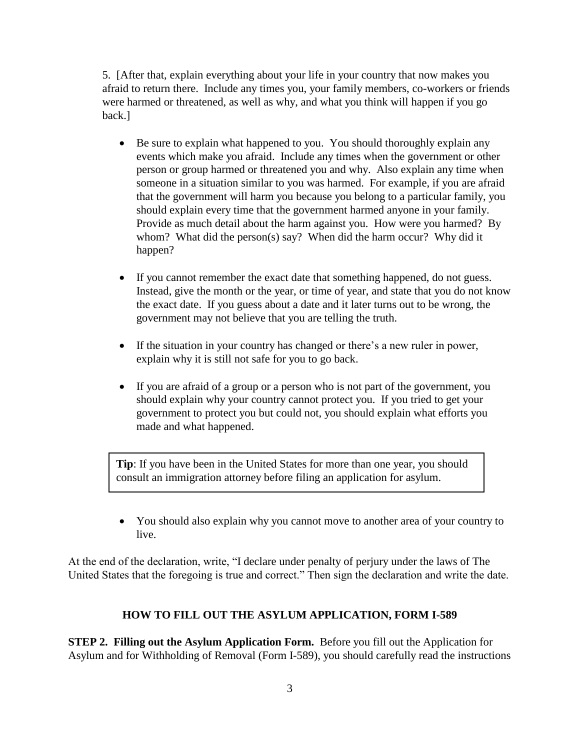5. [After that, explain everything about your life in your country that now makes you afraid to return there. Include any times you, your family members, co-workers or friends were harmed or threatened, as well as why, and what you think will happen if you go back.]

- Be sure to explain what happened to you. You should thoroughly explain any events which make you afraid. Include any times when the government or other person or group harmed or threatened you and why. Also explain any time when someone in a situation similar to you was harmed. For example, if you are afraid that the government will harm you because you belong to a particular family, you should explain every time that the government harmed anyone in your family. Provide as much detail about the harm against you. How were you harmed? By whom? What did the person(s) say? When did the harm occur? Why did it happen?
- If you cannot remember the exact date that something happened, do not guess. Instead, give the month or the year, or time of year, and state that you do not know the exact date. If you guess about a date and it later turns out to be wrong, the government may not believe that you are telling the truth.
- If the situation in your country has changed or there's a new ruler in power, explain why it is still not safe for you to go back.
- If you are afraid of a group or a person who is not part of the government, you should explain why your country cannot protect you. If you tried to get your government to protect you but could not, you should explain what efforts you made and what happened.

**Tip**: If you have been in the United States for more than one year, you should consult an immigration attorney before filing an application for asylum.

• You should also explain why you cannot move to another area of your country to live.

At the end of the declaration, write, "I declare under penalty of perjury under the laws of The United States that the foregoing is true and correct." Then sign the declaration and write the date.

# **HOW TO FILL OUT THE ASYLUM APPLICATION, FORM I-589**

**STEP 2. Filling out the Asylum Application Form.** Before you fill out the Application for Asylum and for Withholding of Removal (Form I-589), you should carefully read the instructions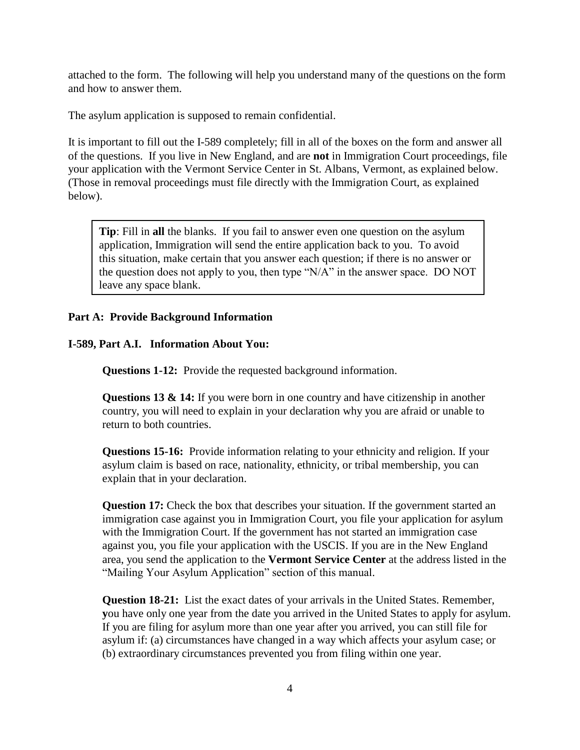attached to the form. The following will help you understand many of the questions on the form and how to answer them.

The asylum application is supposed to remain confidential.

It is important to fill out the I-589 completely; fill in all of the boxes on the form and answer all of the questions. If you live in New England, and are **not** in Immigration Court proceedings, file your application with the Vermont Service Center in St. Albans, Vermont, as explained below. (Those in removal proceedings must file directly with the Immigration Court, as explained below).

**Tip**: Fill in **all** the blanks. If you fail to answer even one question on the asylum application, Immigration will send the entire application back to you. To avoid this situation, make certain that you answer each question; if there is no answer or the question does not apply to you, then type "N/A" in the answer space. DO NOT leave any space blank.

#### **Part A: Provide Background Information**

#### **I-589, Part A.I. Information About You:**

**Questions 1-12:** Provide the requested background information.

**Questions 13 & 14:** If you were born in one country and have citizenship in another country, you will need to explain in your declaration why you are afraid or unable to return to both countries.

**Questions 15-16:** Provide information relating to your ethnicity and religion. If your asylum claim is based on race, nationality, ethnicity, or tribal membership, you can explain that in your declaration.

**Question 17:** Check the box that describes your situation. If the government started an immigration case against you in Immigration Court, you file your application for asylum with the Immigration Court. If the government has not started an immigration case against you, you file your application with the USCIS. If you are in the New England area, you send the application to the **Vermont Service Center** at the address listed in the "Mailing Your Asylum Application" section of this manual.

**Question 18-21:** List the exact dates of your arrivals in the United States. Remember, **y**ou have only one year from the date you arrived in the United States to apply for asylum. If you are filing for asylum more than one year after you arrived, you can still file for asylum if: (a) circumstances have changed in a way which affects your asylum case; or (b) extraordinary circumstances prevented you from filing within one year.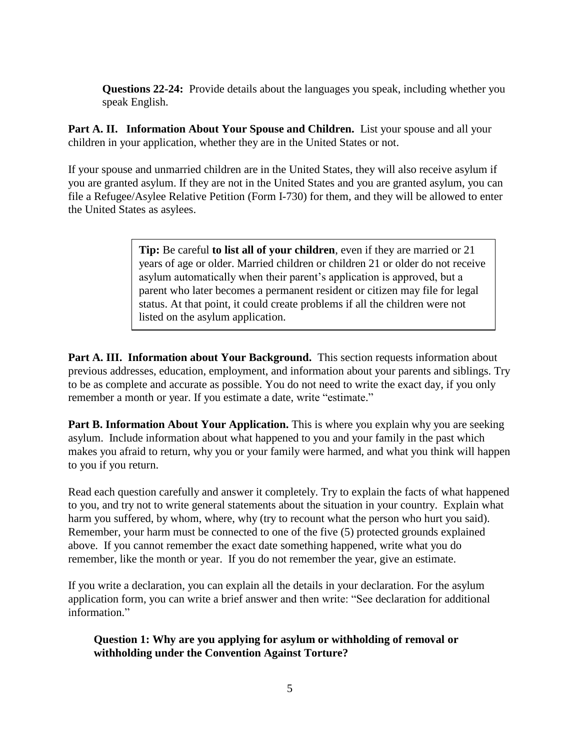**Questions 22-24:** Provide details about the languages you speak, including whether you speak English.

Part A. II. Information About Your Spouse and Children. List your spouse and all your children in your application, whether they are in the United States or not.

If your spouse and unmarried children are in the United States, they will also receive asylum if you are granted asylum. If they are not in the United States and you are granted asylum, you can file a Refugee/Asylee Relative Petition (Form I-730) for them, and they will be allowed to enter the United States as asylees.

> **Tip:** Be careful **to list all of your children**, even if they are married or 21 years of age or older. Married children or children 21 or older do not receive asylum automatically when their parent's application is approved, but a parent who later becomes a permanent resident or citizen may file for legal status. At that point, it could create problems if all the children were not listed on the asylum application.

**Part A. III. Information about Your Background.** This section requests information about previous addresses, education, employment, and information about your parents and siblings. Try to be as complete and accurate as possible. You do not need to write the exact day, if you only remember a month or year. If you estimate a date, write "estimate."

**Part B. Information About Your Application.** This is where you explain why you are seeking asylum. Include information about what happened to you and your family in the past which makes you afraid to return, why you or your family were harmed, and what you think will happen to you if you return.

Read each question carefully and answer it completely. Try to explain the facts of what happened to you, and try not to write general statements about the situation in your country. Explain what harm you suffered, by whom, where, why (try to recount what the person who hurt you said). Remember, your harm must be connected to one of the five (5) protected grounds explained above. If you cannot remember the exact date something happened, write what you do remember, like the month or year. If you do not remember the year, give an estimate.

If you write a declaration, you can explain all the details in your declaration. For the asylum application form, you can write a brief answer and then write: "See declaration for additional information."

**Question 1: Why are you applying for asylum or withholding of removal or withholding under the Convention Against Torture?**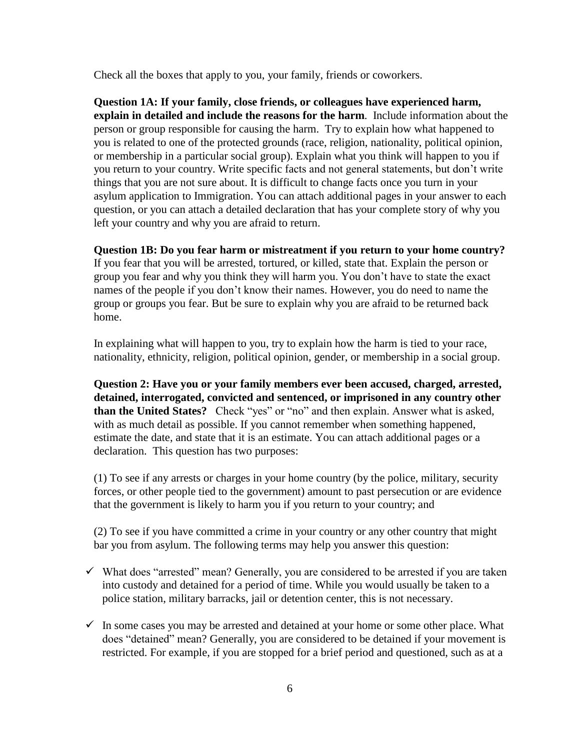Check all the boxes that apply to you, your family, friends or coworkers.

**Question 1A: If your family, close friends, or colleagues have experienced harm, explain in detailed and include the reasons for the harm**. Include information about the person or group responsible for causing the harm. Try to explain how what happened to you is related to one of the protected grounds (race, religion, nationality, political opinion, or membership in a particular social group). Explain what you think will happen to you if you return to your country. Write specific facts and not general statements, but don't write things that you are not sure about. It is difficult to change facts once you turn in your asylum application to Immigration. You can attach additional pages in your answer to each question, or you can attach a detailed declaration that has your complete story of why you left your country and why you are afraid to return.

**Question 1B: Do you fear harm or mistreatment if you return to your home country?** 

If you fear that you will be arrested, tortured, or killed, state that. Explain the person or group you fear and why you think they will harm you. You don't have to state the exact names of the people if you don't know their names. However, you do need to name the group or groups you fear. But be sure to explain why you are afraid to be returned back home.

In explaining what will happen to you, try to explain how the harm is tied to your race, nationality, ethnicity, religion, political opinion, gender, or membership in a social group.

**Question 2: Have you or your family members ever been accused, charged, arrested, detained, interrogated, convicted and sentenced, or imprisoned in any country other than the United States?** Check "yes" or "no" and then explain. Answer what is asked, with as much detail as possible. If you cannot remember when something happened, estimate the date, and state that it is an estimate. You can attach additional pages or a declaration. This question has two purposes:

(1) To see if any arrests or charges in your home country (by the police, military, security forces, or other people tied to the government) amount to past persecution or are evidence that the government is likely to harm you if you return to your country; and

(2) To see if you have committed a crime in your country or any other country that might bar you from asylum. The following terms may help you answer this question:

- $\checkmark$  What does "arrested" mean? Generally, you are considered to be arrested if you are taken into custody and detained for a period of time. While you would usually be taken to a police station, military barracks, jail or detention center, this is not necessary.
- $\checkmark$  In some cases you may be arrested and detained at your home or some other place. What does "detained" mean? Generally, you are considered to be detained if your movement is restricted. For example, if you are stopped for a brief period and questioned, such as at a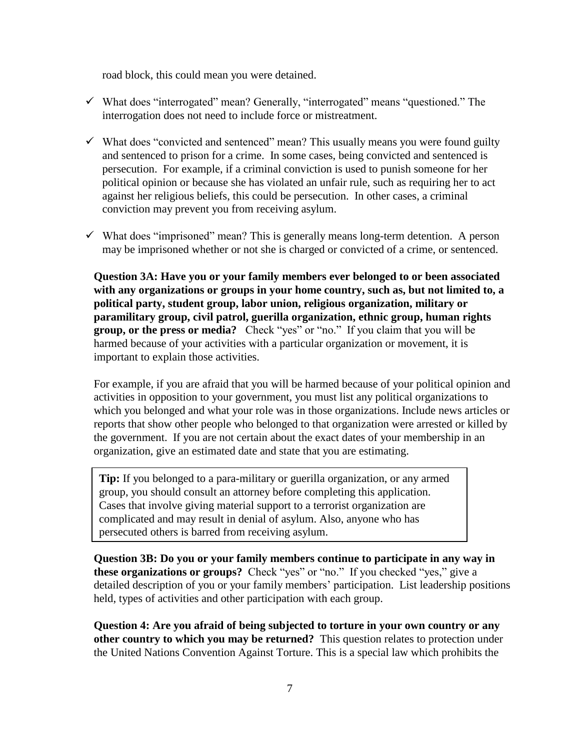road block, this could mean you were detained.

- $\checkmark$  What does "interrogated" mean? Generally, "interrogated" means "questioned." The interrogation does not need to include force or mistreatment.
- $\checkmark$  What does "convicted and sentenced" mean? This usually means you were found guilty and sentenced to prison for a crime. In some cases, being convicted and sentenced is persecution. For example, if a criminal conviction is used to punish someone for her political opinion or because she has violated an unfair rule, such as requiring her to act against her religious beliefs, this could be persecution. In other cases, a criminal conviction may prevent you from receiving asylum.
- $\checkmark$  What does "imprisoned" mean? This is generally means long-term detention. A person may be imprisoned whether or not she is charged or convicted of a crime, or sentenced.

**Question 3A: Have you or your family members ever belonged to or been associated with any organizations or groups in your home country, such as, but not limited to, a political party, student group, labor union, religious organization, military or paramilitary group, civil patrol, guerilla organization, ethnic group, human rights group, or the press or media?** Check "yes" or "no." If you claim that you will be harmed because of your activities with a particular organization or movement, it is important to explain those activities.

For example, if you are afraid that you will be harmed because of your political opinion and activities in opposition to your government, you must list any political organizations to which you belonged and what your role was in those organizations. Include news articles or reports that show other people who belonged to that organization were arrested or killed by the government. If you are not certain about the exact dates of your membership in an organization, give an estimated date and state that you are estimating.

**Tip:** If you belonged to a para-military or guerilla organization, or any armed group, you should consult an attorney before completing this application. Cases that involve giving material support to a terrorist organization are complicated and may result in denial of asylum. Also, anyone who has persecuted others is barred from receiving asylum.

**Question 3B: Do you or your family members continue to participate in any way in these organizations or groups?** Check "yes" or "no." If you checked "yes," give a detailed description of you or your family members' participation. List leadership positions held, types of activities and other participation with each group.

**Question 4: Are you afraid of being subjected to torture in your own country or any other country to which you may be returned?** This question relates to protection under the United Nations Convention Against Torture. This is a special law which prohibits the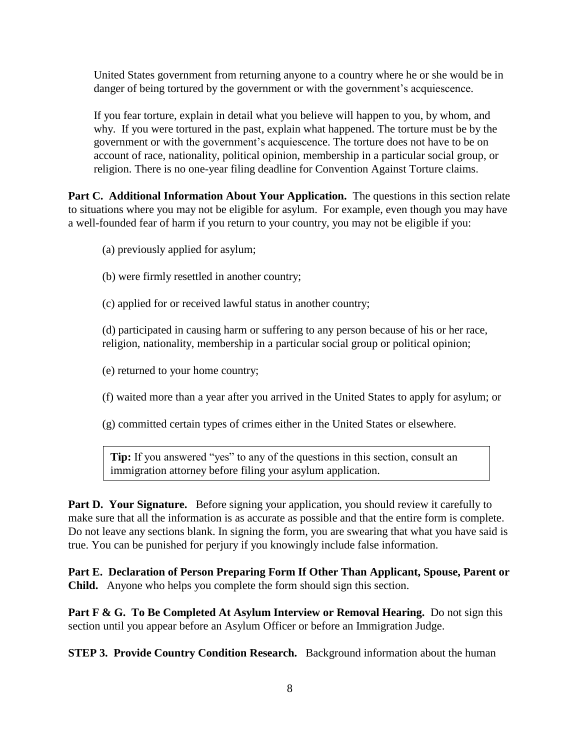United States government from returning anyone to a country where he or she would be in danger of being tortured by the government or with the government's acquiescence.

If you fear torture, explain in detail what you believe will happen to you, by whom, and why. If you were tortured in the past, explain what happened. The torture must be by the government or with the government's acquiescence. The torture does not have to be on account of race, nationality, political opinion, membership in a particular social group, or religion. There is no one-year filing deadline for Convention Against Torture claims.

Part C. Additional Information About Your Application. The questions in this section relate to situations where you may not be eligible for asylum. For example, even though you may have a well-founded fear of harm if you return to your country, you may not be eligible if you:

- (a) previously applied for asylum;
- (b) were firmly resettled in another country;
- (c) applied for or received lawful status in another country;

(d) participated in causing harm or suffering to any person because of his or her race, religion, nationality, membership in a particular social group or political opinion;

- (e) returned to your home country;
- (f) waited more than a year after you arrived in the United States to apply for asylum; or
- (g) committed certain types of crimes either in the United States or elsewhere.

**Tip:** If you answered "yes" to any of the questions in this section, consult an immigration attorney before filing your asylum application.

**Part D. Your Signature.** Before signing your application, you should review it carefully to make sure that all the information is as accurate as possible and that the entire form is complete. Do not leave any sections blank. In signing the form, you are swearing that what you have said is true. You can be punished for perjury if you knowingly include false information.

**Part E. Declaration of Person Preparing Form If Other Than Applicant, Spouse, Parent or Child.** Anyone who helps you complete the form should sign this section.

Part F & G. To Be Completed At Asylum Interview or Removal Hearing. Do not sign this section until you appear before an Asylum Officer or before an Immigration Judge.

**STEP 3. Provide Country Condition Research.** Background information about the human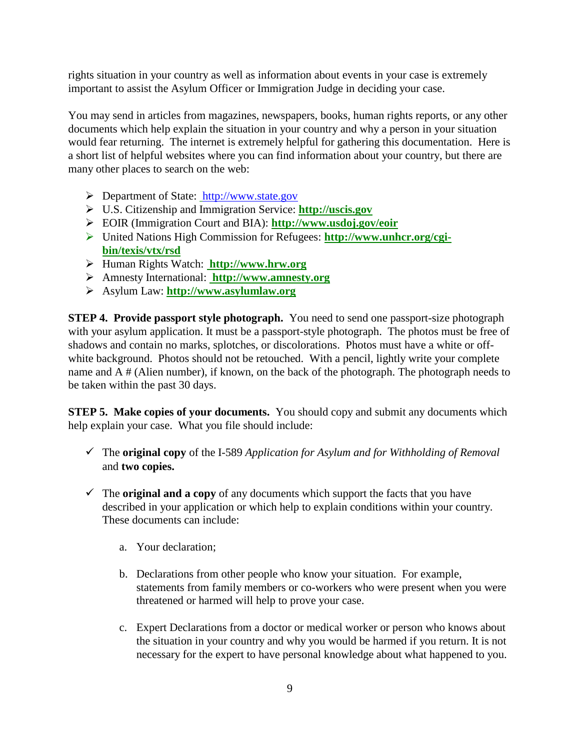rights situation in your country as well as information about events in your case is extremely important to assist the Asylum Officer or Immigration Judge in deciding your case.

You may send in articles from magazines, newspapers, books, human rights reports, or any other documents which help explain the situation in your country and why a person in your situation would fear returning. The internet is extremely helpful for gathering this documentation. Here is a short list of helpful websites where you can find information about your country, but there are many other places to search on the web:

- Department of State: [http://www.state.gov](http://www.state.gov/)
- U.S. Citizenship and Immigration Service: **http://uscis.gov**
- EOIR (Immigration Court and BIA): **http://www.usdoj.gov/eoir**
- United Nations High Commission for Refugees: **[http://www.unhcr.org/cgi](http://www.unhcr.org/cgi-bin/texis/vtx/rsd)[bin/texis/vtx/rsd](http://www.unhcr.org/cgi-bin/texis/vtx/rsd)**
- Human Rights Watch: **http://www.hrw.org**
- Amnesty International: **http://www.amnesty.org**
- Asylum Law: **http://www.asylumlaw.org**

**STEP 4. Provide passport style photograph.** You need to send one passport-size photograph with your asylum application. It must be a passport-style photograph. The photos must be free of shadows and contain no marks, splotches, or discolorations. Photos must have a white or offwhite background. Photos should not be retouched. With a pencil, lightly write your complete name and A # (Alien number), if known, on the back of the photograph. The photograph needs to be taken within the past 30 days.

**STEP 5. Make copies of your documents.** You should copy and submit any documents which help explain your case. What you file should include:

- The **original copy** of the I-589 *Application for Asylum and for Withholding of Removal* and **two copies.**
- $\checkmark$  The **original and a copy** of any documents which support the facts that you have described in your application or which help to explain conditions within your country. These documents can include:
	- a. Your declaration;
	- b. Declarations from other people who know your situation. For example, statements from family members or co-workers who were present when you were threatened or harmed will help to prove your case.
	- c. Expert Declarations from a doctor or medical worker or person who knows about the situation in your country and why you would be harmed if you return. It is not necessary for the expert to have personal knowledge about what happened to you.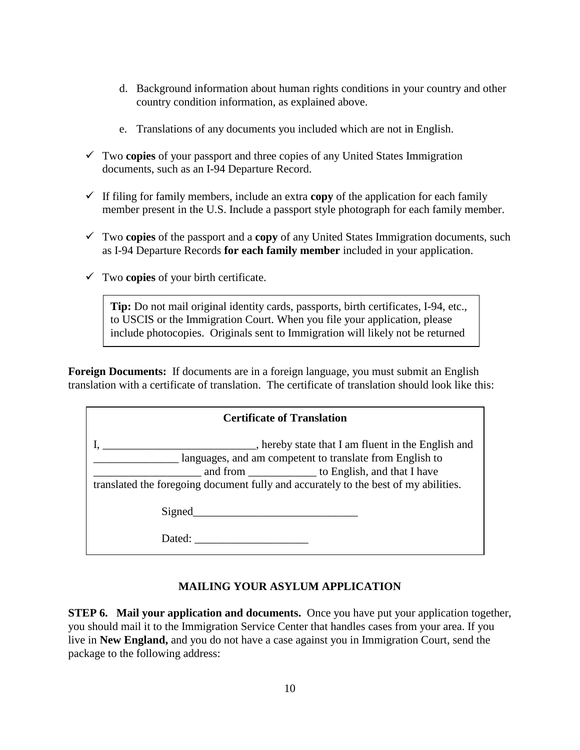- d. Background information about human rights conditions in your country and other country condition information, as explained above.
- e. Translations of any documents you included which are not in English.
- Two **copies** of your passport and three copies of any United States Immigration documents, such as an I-94 Departure Record.
- If filing for family members, include an extra **copy** of the application for each family member present in the U.S. Include a passport style photograph for each family member.
- Two **copies** of the passport and a **copy** of any United States Immigration documents, such as I-94 Departure Records **for each family member** included in your application.
- Two **copies** of your birth certificate.

to you.

**Tip:** Do not mail original identity cards, passports, birth certificates, I-94, etc., to USCIS or the Immigration Court. When you file your application, please include photocopies. Originals sent to Immigration will likely not be returned

**Foreign Documents:** If documents are in a foreign language, you must submit an English translation with a certificate of translation. The certificate of translation should look like this:

| <b>Certificate of Translation</b>                                                                                                                                                                                                                             |  |
|---------------------------------------------------------------------------------------------------------------------------------------------------------------------------------------------------------------------------------------------------------------|--|
| hereby state that I am fluent in the English and<br>languages, and am competent to translate from English to<br>and from _________________ to English, and that I have<br>translated the foregoing document fully and accurately to the best of my abilities. |  |
| Signed                                                                                                                                                                                                                                                        |  |
| Dated:                                                                                                                                                                                                                                                        |  |

# **MAILING YOUR ASYLUM APPLICATION**

**STEP 6. Mail your application and documents.** Once you have put your application together, you should mail it to the Immigration Service Center that handles cases from your area. If you live in **New England,** and you do not have a case against you in Immigration Court, send the package to the following address: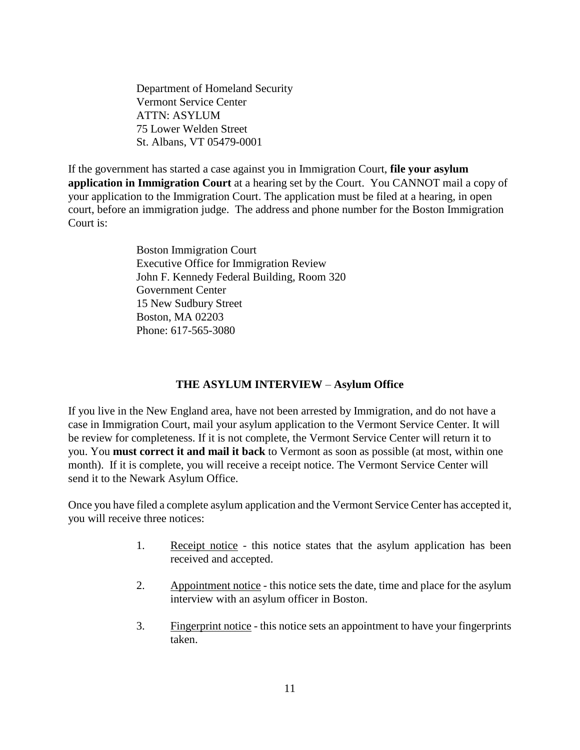Department of Homeland Security Vermont Service Center ATTN: ASYLUM 75 Lower Welden Street St. Albans, VT 05479-0001

If the government has started a case against you in Immigration Court, **file your asylum application in Immigration Court** at a hearing set by the Court. You CANNOT mail a copy of your application to the Immigration Court. The application must be filed at a hearing, in open court, before an immigration judge. The address and phone number for the Boston Immigration Court is:

> Boston Immigration Court Executive Office for Immigration Review John F. Kennedy Federal Building, Room 320 Government Center 15 New Sudbury Street Boston, MA 02203 Phone: 617-565-3080

#### **THE ASYLUM INTERVIEW** – **Asylum Office**

If you live in the New England area, have not been arrested by Immigration, and do not have a case in Immigration Court, mail your asylum application to the Vermont Service Center. It will be review for completeness. If it is not complete, the Vermont Service Center will return it to you. You **must correct it and mail it back** to Vermont as soon as possible (at most, within one month). If it is complete, you will receive a receipt notice. The Vermont Service Center will send it to the Newark Asylum Office.

Once you have filed a complete asylum application and the Vermont Service Center has accepted it, you will receive three notices:

- 1. Receipt notice this notice states that the asylum application has been received and accepted.
- 2. Appointment notice this notice sets the date, time and place for the asylum interview with an asylum officer in Boston.
- 3. Fingerprint notice this notice sets an appointment to have your fingerprints taken.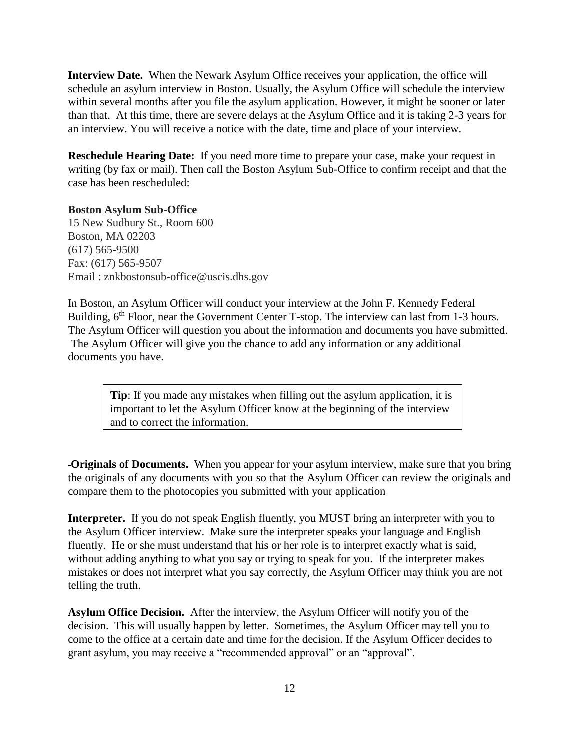**Interview Date.** When the Newark Asylum Office receives your application, the office will schedule an asylum interview in Boston. Usually, the Asylum Office will schedule the interview within several months after you file the asylum application. However, it might be sooner or later than that. At this time, there are severe delays at the Asylum Office and it is taking 2-3 years for an interview. You will receive a notice with the date, time and place of your interview.

**Reschedule Hearing Date:** If you need more time to prepare your case, make your request in writing (by fax or mail). Then call the Boston Asylum Sub-Office to confirm receipt and that the case has been rescheduled:

**Boston Asylum Sub-Office** 15 New Sudbury St., Room 600 Boston, MA 02203 (617) 565-9500 Fax: (617) 565-9507 Email : znkbostonsub-office@uscis.dhs.gov

In Boston, an Asylum Officer will conduct your interview at the John F. Kennedy Federal Building, 6<sup>th</sup> Floor, near the Government Center T-stop. The interview can last from 1-3 hours. The Asylum Officer will question you about the information and documents you have submitted. The Asylum Officer will give you the chance to add any information or any additional documents you have.

**Tip**: If you made any mistakes when filling out the asylum application, it is important to let the Asylum Officer know at the beginning of the interview and to correct the information.

**Originals of Documents.** When you appear for your asylum interview, make sure that you bring the originals of any documents with you so that the Asylum Officer can review the originals and compare them to the photocopies you submitted with your application

Interpreter. If you do not speak English fluently, you MUST bring an interpreter with you to the Asylum Officer interview. Make sure the interpreter speaks your language and English fluently. He or she must understand that his or her role is to interpret exactly what is said, without adding anything to what you say or trying to speak for you. If the interpreter makes mistakes or does not interpret what you say correctly, the Asylum Officer may think you are not telling the truth.

**Asylum Office Decision.** After the interview, the Asylum Officer will notify you of the decision. This will usually happen by letter. Sometimes, the Asylum Officer may tell you to come to the office at a certain date and time for the decision. If the Asylum Officer decides to grant asylum, you may receive a "recommended approval" or an "approval".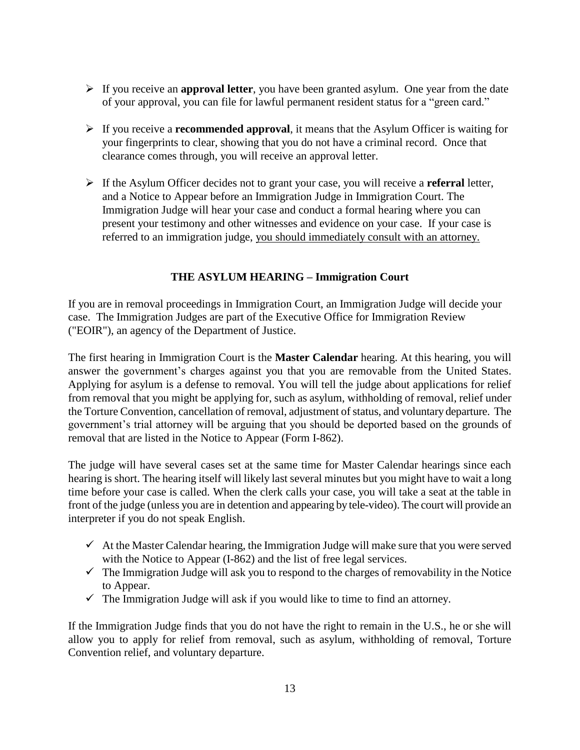- If you receive an **approval letter**, you have been granted asylum. One year from the date of your approval, you can file for lawful permanent resident status for a "green card."
- If you receive a **recommended approval**, it means that the Asylum Officer is waiting for your fingerprints to clear, showing that you do not have a criminal record. Once that clearance comes through, you will receive an approval letter.
- If the Asylum Officer decides not to grant your case, you will receive a **referral** letter, and a Notice to Appear before an Immigration Judge in Immigration Court. The Immigration Judge will hear your case and conduct a formal hearing where you can present your testimony and other witnesses and evidence on your case. If your case is referred to an immigration judge, you should immediately consult with an attorney.

## **THE ASYLUM HEARING – Immigration Court**

If you are in removal proceedings in Immigration Court, an Immigration Judge will decide your case. The Immigration Judges are part of the Executive Office for Immigration Review ("EOIR"), an agency of the Department of Justice.

The first hearing in Immigration Court is the **Master Calendar** hearing. At this hearing, you will answer the government's charges against you that you are removable from the United States. Applying for asylum is a defense to removal. You will tell the judge about applications for relief from removal that you might be applying for, such as asylum, withholding of removal, relief under the Torture Convention, cancellation of removal, adjustment of status, and voluntary departure. The government's trial attorney will be arguing that you should be deported based on the grounds of removal that are listed in the Notice to Appear (Form I-862).

The judge will have several cases set at the same time for Master Calendar hearings since each hearing is short. The hearing itself will likely last several minutes but you might have to wait a long time before your case is called. When the clerk calls your case, you will take a seat at the table in front of the judge (unless you are in detention and appearing by tele-video). The court will provide an interpreter if you do not speak English.

- $\checkmark$  At the Master Calendar hearing, the Immigration Judge will make sure that you were served with the Notice to Appear (I-862) and the list of free legal services.
- $\checkmark$  The Immigration Judge will ask you to respond to the charges of removability in the Notice to Appear.
- $\checkmark$  The Immigration Judge will ask if you would like to time to find an attorney.

If the Immigration Judge finds that you do not have the right to remain in the U.S., he or she will allow you to apply for relief from removal, such as asylum, withholding of removal, Torture Convention relief, and voluntary departure.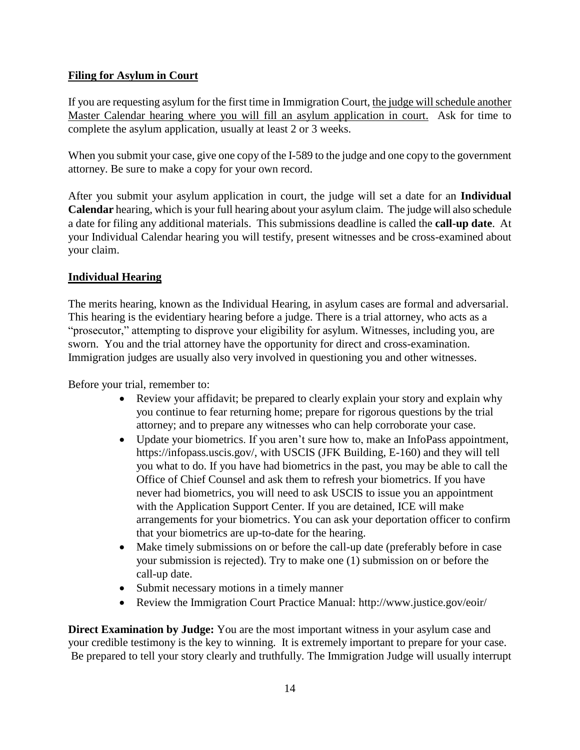# **Filing for Asylum in Court**

If you are requesting asylum for the first time in Immigration Court, the judge will schedule another Master Calendar hearing where you will fill an asylum application in court. Ask for time to complete the asylum application, usually at least 2 or 3 weeks.

When you submit your case, give one copy of the I-589 to the judge and one copy to the government attorney. Be sure to make a copy for your own record.

After you submit your asylum application in court, the judge will set a date for an **Individual Calendar** hearing, which is your full hearing about your asylum claim. The judge will also schedule a date for filing any additional materials. This submissions deadline is called the **call-up date**. At your Individual Calendar hearing you will testify, present witnesses and be cross-examined about your claim.

## **Individual Hearing**

The merits hearing, known as the Individual Hearing, in asylum cases are formal and adversarial. This hearing is the evidentiary hearing before a judge. There is a trial attorney, who acts as a "prosecutor," attempting to disprove your eligibility for asylum. Witnesses, including you, are sworn. You and the trial attorney have the opportunity for direct and cross-examination. Immigration judges are usually also very involved in questioning you and other witnesses.

Before your trial, remember to:

- Review your affidavit; be prepared to clearly explain your story and explain why you continue to fear returning home; prepare for rigorous questions by the trial attorney; and to prepare any witnesses who can help corroborate your case.
- Update your biometrics. If you aren't sure how to, make an InfoPass appointment, https://infopass.uscis.gov/, with USCIS (JFK Building, E-160) and they will tell you what to do. If you have had biometrics in the past, you may be able to call the Office of Chief Counsel and ask them to refresh your biometrics. If you have never had biometrics, you will need to ask USCIS to issue you an appointment with the Application Support Center. If you are detained, ICE will make arrangements for your biometrics. You can ask your deportation officer to confirm that your biometrics are up-to-date for the hearing.
- Make timely submissions on or before the call-up date (preferably before in case your submission is rejected). Try to make one (1) submission on or before the call-up date.
- Submit necessary motions in a timely manner
- Review the Immigration Court Practice Manual: http://www.justice.gov/eoir/

**Direct Examination by Judge:** You are the most important witness in your asylum case and your credible testimony is the key to winning. It is extremely important to prepare for your case. Be prepared to tell your story clearly and truthfully. The Immigration Judge will usually interrupt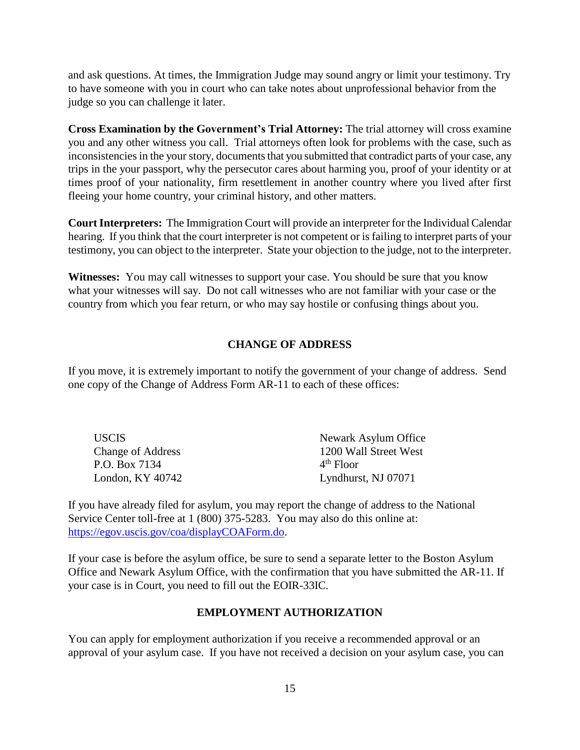and ask questions. At times, the Immigration Judge may sound angry or limit your testimony. Try to have someone with you in court who can take notes about unprofessional behavior from the judge so you can challenge it later.

**Cross Examination by the Government's Trial Attorney:** The trial attorney will cross examine you and any other witness you call. Trial attorneys often look for problems with the case, such as inconsistencies in the your story, documents that you submitted that contradict parts of your case, any trips in the your passport, why the persecutor cares about harming you, proof of your identity or at times proof of your nationality, firm resettlement in another country where you lived after first fleeing your home country, your criminal history, and other matters.

**Court Interpreters:** The Immigration Court will provide an interpreter for the Individual Calendar hearing. If you think that the court interpreter is not competent or is failing to interpret parts of your testimony, you can object to the interpreter. State your objection to the judge, not to the interpreter.

**Witnesses:** You may call witnesses to support your case. You should be sure that you know what your witnesses will say. Do not call witnesses who are not familiar with your case or the country from which you fear return, or who may say hostile or confusing things about you.

## **CHANGE OF ADDRESS**

If you move, it is extremely important to notify the government of your change of address. Send one copy of the Change of Address Form AR-11 to each of these offices:

| <b>USCIS</b>             | Newark Asylum Office  |
|--------------------------|-----------------------|
| <b>Change of Address</b> | 1200 Wall Street West |
| P.O. Box 7134            | $4th$ Floor           |
| London, KY 40742         | Lyndhurst, NJ 07071   |

If you have already filed for asylum, you may report the change of address to the National Service Center toll-free at 1 (800) 375-5283. You may also do this online at: [https://egov.uscis.gov/coa/displayCOAForm.do.](https://egov.uscis.gov/coa/displayCOAForm.do)

If your case is before the asylum office, be sure to send a separate letter to the Boston Asylum Office and Newark Asylum Office, with the confirmation that you have submitted the AR-11. If your case is in Court, you need to fill out the EOIR-33IC.

#### **EMPLOYMENT AUTHORIZATION**

You can apply for employment authorization if you receive a recommended approval or an approval of your asylum case. If you have not received a decision on your asylum case, you can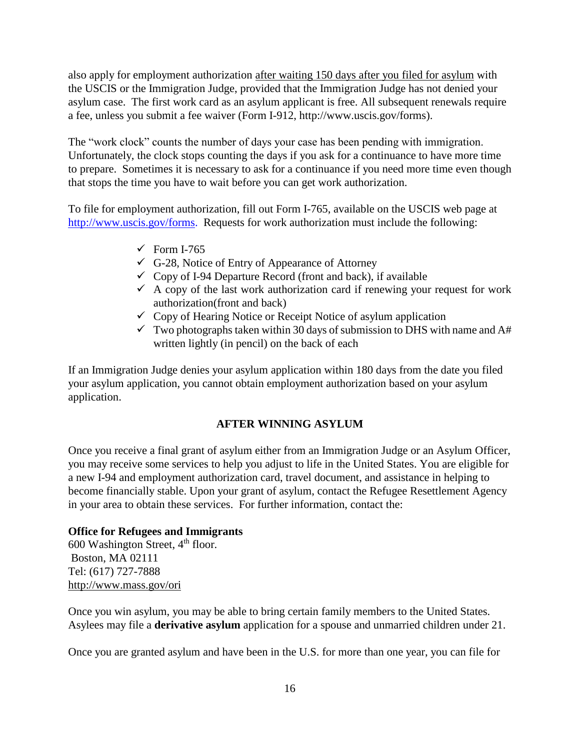also apply for employment authorization after waiting 150 days after you filed for asylum with the USCIS or the Immigration Judge, provided that the Immigration Judge has not denied your asylum case. The first work card as an asylum applicant is free. All subsequent renewals require a fee, unless you submit a fee waiver (Form I-912, http://www.uscis.gov/forms).

The "work clock" counts the number of days your case has been pending with immigration. Unfortunately, the clock stops counting the days if you ask for a continuance to have more time to prepare. Sometimes it is necessary to ask for a continuance if you need more time even though that stops the time you have to wait before you can get work authorization.

To file for employment authorization, fill out Form I-765, available on the USCIS web page at http://www.uscis.gov/forms. Requests for work authorization must include the following:

- $\checkmark$  Form I-765
- $\checkmark$  G-28, Notice of Entry of Appearance of Attorney
- $\checkmark$  Copy of I-94 Departure Record (front and back), if available
- $\checkmark$  A copy of the last work authorization card if renewing your request for work authorization(front and back)
- $\checkmark$  Copy of Hearing Notice or Receipt Notice of asylum application
- $\checkmark$  Two photographs taken within 30 days of submission to DHS with name and A# written lightly (in pencil) on the back of each

If an Immigration Judge denies your asylum application within 180 days from the date you filed your asylum application, you cannot obtain employment authorization based on your asylum application.

#### **AFTER WINNING ASYLUM**

Once you receive a final grant of asylum either from an Immigration Judge or an Asylum Officer, you may receive some services to help you adjust to life in the United States. You are eligible for a new I-94 and employment authorization card, travel document, and assistance in helping to become financially stable. Upon your grant of asylum, contact the Refugee Resettlement Agency in your area to obtain these services. For further information, contact the:

#### **Office for Refugees and Immigrants**

600 Washington Street, 4<sup>th</sup> floor. Boston, MA 02111 Tel: (617) 727-7888 <http://www.mass.gov/ori>

Once you win asylum, you may be able to bring certain family members to the United States. Asylees may file a **derivative asylum** application for a spouse and unmarried children under 21.

Once you are granted asylum and have been in the U.S. for more than one year, you can file for